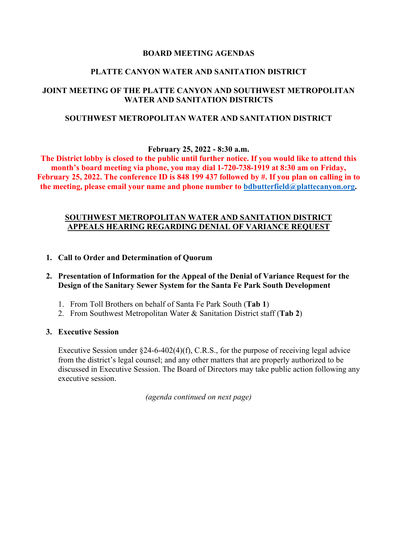### **BOARD MEETING AGENDAS**

### **PLATTE CANYON WATER AND SANITATION DISTRICT**

## **JOINT MEETING OF THE PLATTE CANYON AND SOUTHWEST METROPOLITAN WATER AND SANITATION DISTRICTS**

### **SOUTHWEST METROPOLITAN WATER AND SANITATION DISTRICT**

**February 25, 2022 - 8:30 a.m.**

**The District lobby is closed to the public until further notice. If you would like to attend this month's board meeting via phone, you may dial 1-720-738-1919 at 8:30 am on Friday, February 25, 2022. The conference ID is 848 199 437 followed by #. If you plan on calling in to the meeting, please email your name and phone number to [bdbutterfield@plattecanyon.org.](mailto:bdbutterfield@plattecanyon.org)**

### **SOUTHWEST METROPOLITAN WATER AND SANITATION DISTRICT APPEALS HEARING REGARDING DENIAL OF VARIANCE REQUEST**

- **1. Call to Order and Determination of Quorum**
- **2. Presentation of Information for the Appeal of the Denial of Variance Request for the Design of the Sanitary Sewer System for the Santa Fe Park South Development**
	- 1. From Toll Brothers on behalf of Santa Fe Park South (**Tab 1**)
	- 2. From Southwest Metropolitan Water & Sanitation District staff (**Tab 2**)
- **3. Executive Session**

Executive Session under  $\S$ 24-6-402(4)(f), C.R.S., for the purpose of receiving legal advice from the district's legal counsel; and any other matters that are properly authorized to be discussed in Executive Session. The Board of Directors may take public action following any executive session.

*(agenda continued on next page)*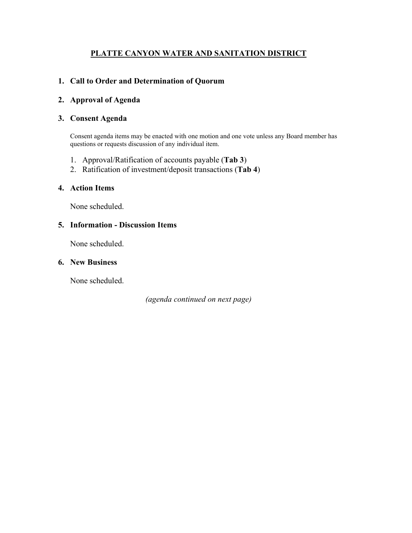# **PLATTE CANYON WATER AND SANITATION DISTRICT**

## **1. Call to Order and Determination of Quorum**

### **2. Approval of Agenda**

### **3. Consent Agenda**

Consent agenda items may be enacted with one motion and one vote unless any Board member has questions or requests discussion of any individual item.

- 1. Approval/Ratification of accounts payable (**Tab 3**)
- 2. Ratification of investment/deposit transactions (**Tab 4**)

## **4. Action Items**

None scheduled.

#### **5. Information - Discussion Items**

None scheduled.

## **6. New Business**

None scheduled.

*(agenda continued on next page)*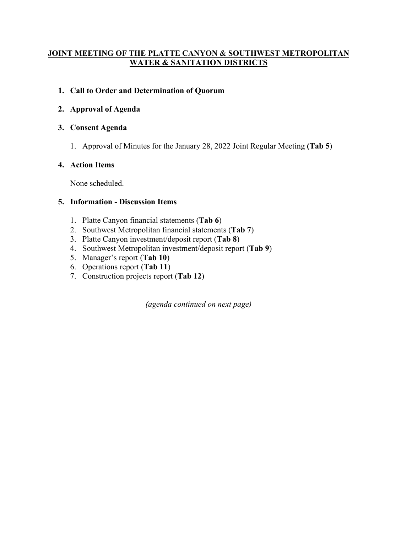# **JOINT MEETING OF THE PLATTE CANYON & SOUTHWEST METROPOLITAN WATER & SANITATION DISTRICTS**

# **1. Call to Order and Determination of Quorum**

# **2. Approval of Agenda**

## **3. Consent Agenda**

1. Approval of Minutes for the January 28, 2022 Joint Regular Meeting **(Tab 5**)

# **4. Action Items**

None scheduled.

## **5. Information - Discussion Items**

- 1. Platte Canyon financial statements (**Tab 6**)
- 2. Southwest Metropolitan financial statements (**Tab 7**)
- 3. Platte Canyon investment/deposit report (**Tab 8**)
- 4. Southwest Metropolitan investment/deposit report (**Tab 9**)
- 5. Manager's report (**Tab 10**)
- 6. Operations report (**Tab 11**)
- 7. Construction projects report (**Tab 12**)

*(agenda continued on next page)*